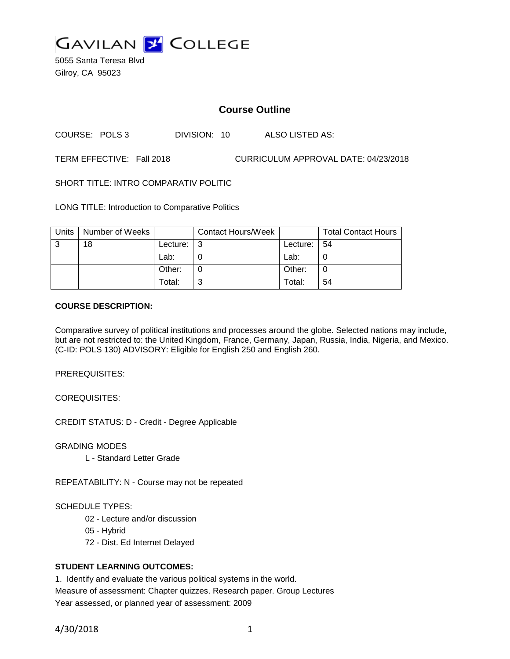

5055 Santa Teresa Blvd Gilroy, CA 95023

# **Course Outline**

COURSE: POLS 3 DIVISION: 10 ALSO LISTED AS:

TERM EFFECTIVE: Fall 2018 CURRICULUM APPROVAL DATE: 04/23/2018

SHORT TITLE: INTRO COMPARATIV POLITIC

LONG TITLE: Introduction to Comparative Politics

| Units | Number of Weeks |          | <b>Contact Hours/Week</b> |          | <b>Total Contact Hours</b> |
|-------|-----------------|----------|---------------------------|----------|----------------------------|
| 3     | 18              | Lecture: |                           | Lecture: | -54                        |
|       |                 | Lab:     |                           | Lab:     |                            |
|       |                 | Other:   |                           | Other:   |                            |
|       |                 | Total:   |                           | Total:   | 54                         |

#### **COURSE DESCRIPTION:**

Comparative survey of political institutions and processes around the globe. Selected nations may include, but are not restricted to: the United Kingdom, France, Germany, Japan, Russia, India, Nigeria, and Mexico. (C-ID: POLS 130) ADVISORY: Eligible for English 250 and English 260.

PREREQUISITES:

COREQUISITES:

CREDIT STATUS: D - Credit - Degree Applicable

GRADING MODES

L - Standard Letter Grade

REPEATABILITY: N - Course may not be repeated

#### SCHEDULE TYPES:

- 02 Lecture and/or discussion
- 05 Hybrid
- 72 Dist. Ed Internet Delayed

### **STUDENT LEARNING OUTCOMES:**

1. Identify and evaluate the various political systems in the world. Measure of assessment: Chapter quizzes. Research paper. Group Lectures Year assessed, or planned year of assessment: 2009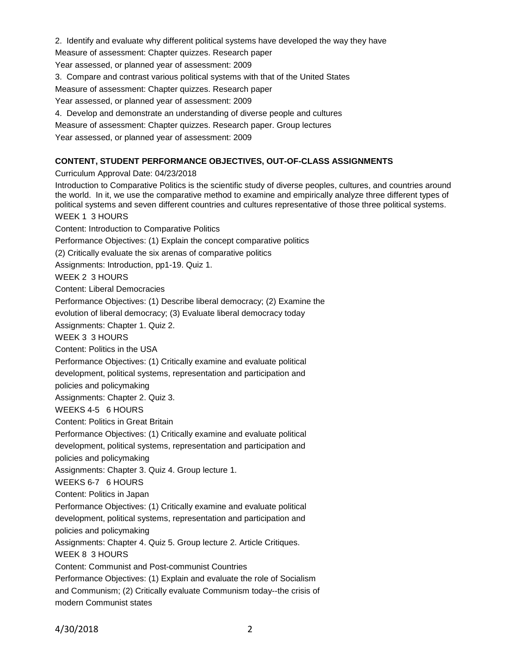2. Identify and evaluate why different political systems have developed the way they have

Measure of assessment: Chapter quizzes. Research paper

Year assessed, or planned year of assessment: 2009

3. Compare and contrast various political systems with that of the United States

Measure of assessment: Chapter quizzes. Research paper

Year assessed, or planned year of assessment: 2009

4. Develop and demonstrate an understanding of diverse people and cultures

Measure of assessment: Chapter quizzes. Research paper. Group lectures

Year assessed, or planned year of assessment: 2009

### **CONTENT, STUDENT PERFORMANCE OBJECTIVES, OUT-OF-CLASS ASSIGNMENTS**

Curriculum Approval Date: 04/23/2018

Introduction to Comparative Politics is the scientific study of diverse peoples, cultures, and countries around the world. In it, we use the comparative method to examine and empirically analyze three different types of political systems and seven different countries and cultures representative of those three political systems. WEEK 1 3 HOURS Content: Introduction to Comparative Politics Performance Objectives: (1) Explain the concept comparative politics (2) Critically evaluate the six arenas of comparative politics Assignments: Introduction, pp1-19. Quiz 1. WEEK 2 3 HOURS Content: Liberal Democracies Performance Objectives: (1) Describe liberal democracy; (2) Examine the evolution of liberal democracy; (3) Evaluate liberal democracy today Assignments: Chapter 1. Quiz 2. WEEK 3 3 HOURS Content: Politics in the USA Performance Objectives: (1) Critically examine and evaluate political development, political systems, representation and participation and policies and policymaking Assignments: Chapter 2. Quiz 3. WEEKS 4-5 6 HOURS Content: Politics in Great Britain Performance Objectives: (1) Critically examine and evaluate political development, political systems, representation and participation and policies and policymaking Assignments: Chapter 3. Quiz 4. Group lecture 1. WEEKS 6-7 6 HOURS Content: Politics in Japan Performance Objectives: (1) Critically examine and evaluate political development, political systems, representation and participation and policies and policymaking Assignments: Chapter 4. Quiz 5. Group lecture 2. Article Critiques. WEEK 8 3 HOURS Content: Communist and Post-communist Countries Performance Objectives: (1) Explain and evaluate the role of Socialism and Communism; (2) Critically evaluate Communism today--the crisis of modern Communist states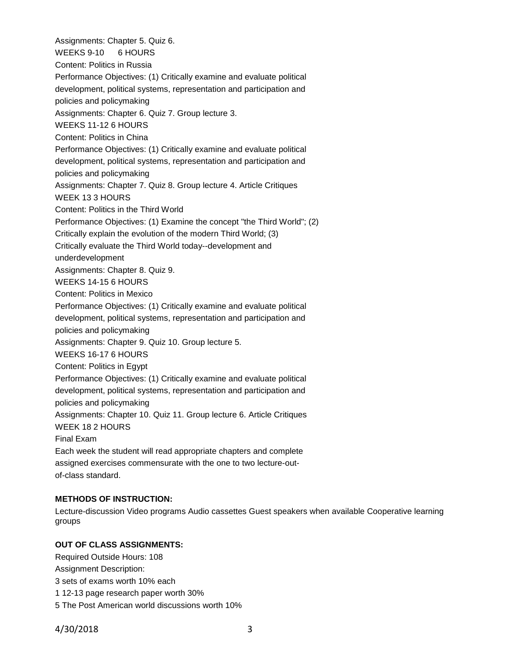Assignments: Chapter 5. Quiz 6. WEEKS 9-10 6 HOURS Content: Politics in Russia Performance Objectives: (1) Critically examine and evaluate political development, political systems, representation and participation and policies and policymaking Assignments: Chapter 6. Quiz 7. Group lecture 3. WEEKS 11-12 6 HOURS Content: Politics in China Performance Objectives: (1) Critically examine and evaluate political development, political systems, representation and participation and policies and policymaking Assignments: Chapter 7. Quiz 8. Group lecture 4. Article Critiques WEEK 13 3 HOURS Content: Politics in the Third World Performance Objectives: (1) Examine the concept "the Third World"; (2) Critically explain the evolution of the modern Third World; (3) Critically evaluate the Third World today--development and underdevelopment Assignments: Chapter 8. Quiz 9. WEEKS 14-15 6 HOURS Content: Politics in Mexico Performance Objectives: (1) Critically examine and evaluate political development, political systems, representation and participation and policies and policymaking Assignments: Chapter 9. Quiz 10. Group lecture 5. WEEKS 16-17 6 HOURS Content: Politics in Egypt Performance Objectives: (1) Critically examine and evaluate political development, political systems, representation and participation and policies and policymaking Assignments: Chapter 10. Quiz 11. Group lecture 6. Article Critiques WEEK 18 2 HOURS Final Exam Each week the student will read appropriate chapters and complete assigned exercises commensurate with the one to two lecture-outof-class standard.

### **METHODS OF INSTRUCTION:**

Lecture-discussion Video programs Audio cassettes Guest speakers when available Cooperative learning groups

### **OUT OF CLASS ASSIGNMENTS:**

Required Outside Hours: 108 Assignment Description: 3 sets of exams worth 10% each 1 12-13 page research paper worth 30% 5 The Post American world discussions worth 10%

4/30/2018 3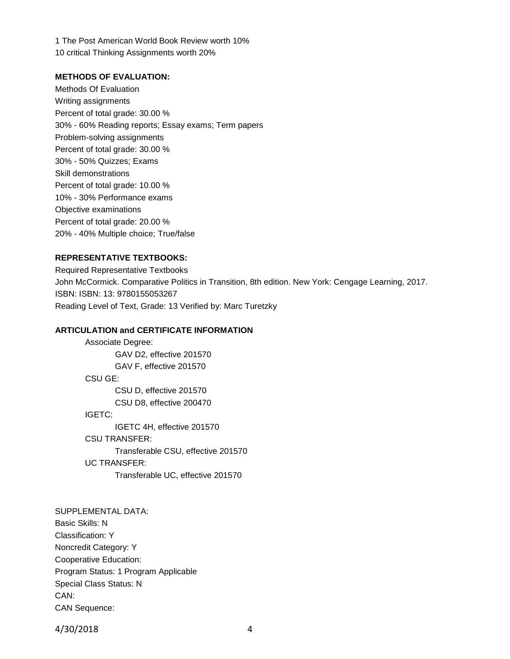1 The Post American World Book Review worth 10% 10 critical Thinking Assignments worth 20%

#### **METHODS OF EVALUATION:**

Methods Of Evaluation Writing assignments Percent of total grade: 30.00 % 30% - 60% Reading reports; Essay exams; Term papers Problem-solving assignments Percent of total grade: 30.00 % 30% - 50% Quizzes; Exams Skill demonstrations Percent of total grade: 10.00 % 10% - 30% Performance exams Objective examinations Percent of total grade: 20.00 % 20% - 40% Multiple choice; True/false

## **REPRESENTATIVE TEXTBOOKS:**

Required Representative Textbooks John McCormick. Comparative Politics in Transition, 8th edition. New York: Cengage Learning, 2017. ISBN: ISBN: 13: 9780155053267 Reading Level of Text, Grade: 13 Verified by: Marc Turetzky

### **ARTICULATION and CERTIFICATE INFORMATION**

```
Associate Degree:
       GAV D2, effective 201570
       GAV F, effective 201570
CSU GE:
       CSU D, effective 201570
       CSU D8, effective 200470
IGETC:
       IGETC 4H, effective 201570
CSU TRANSFER:
       Transferable CSU, effective 201570
UC TRANSFER:
       Transferable UC, effective 201570
```
SUPPLEMENTAL DATA: Basic Skills: N Classification: Y Noncredit Category: Y Cooperative Education: Program Status: 1 Program Applicable Special Class Status: N CAN: CAN Sequence:

4/30/2018 4